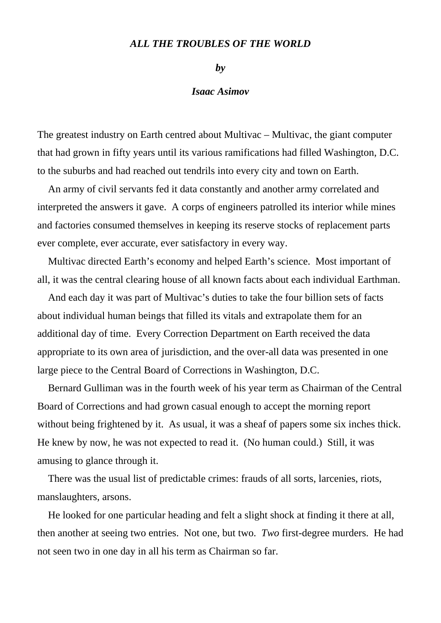#### *by*

# *Isaac Asimov*

The greatest industry on Earth centred about Multivac – Multivac, the giant computer that had grown in fifty years until its various ramifications had filled Washington, D.C. to the suburbs and had reached out tendrils into every city and town on Earth.

An army of civil servants fed it data constantly and another army correlated and interpreted the answers it gave. A corps of engineers patrolled its interior while mines and factories consumed themselves in keeping its reserve stocks of replacement parts ever complete, ever accurate, ever satisfactory in every way.

Multivac directed Earth's economy and helped Earth's science. Most important of all, it was the central clearing house of all known facts about each individual Earthman.

And each day it was part of Multivac's duties to take the four billion sets of facts about individual human beings that filled its vitals and extrapolate them for an additional day of time. Every Correction Department on Earth received the data appropriate to its own area of jurisdiction, and the over-all data was presented in one large piece to the Central Board of Corrections in Washington, D.C.

Bernard Gulliman was in the fourth week of his year term as Chairman of the Central Board of Corrections and had grown casual enough to accept the morning report without being frightened by it. As usual, it was a sheaf of papers some six inches thick. He knew by now, he was not expected to read it. (No human could.) Still, it was amusing to glance through it.

There was the usual list of predictable crimes: frauds of all sorts, larcenies, riots, manslaughters, arsons.

He looked for one particular heading and felt a slight shock at finding it there at all, then another at seeing two entries. Not one, but two. *Two* first-degree murders. He had not seen two in one day in all his term as Chairman so far.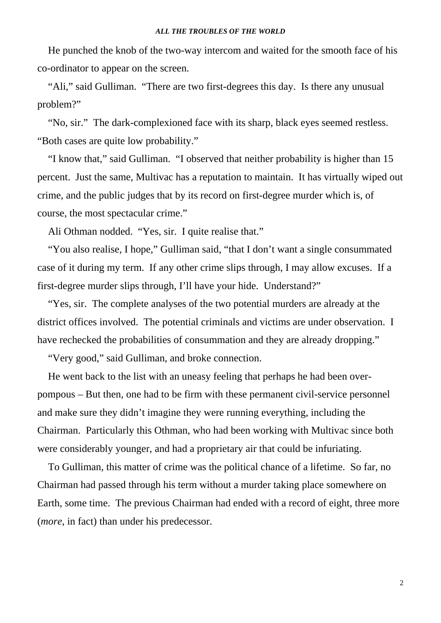He punched the knob of the two-way intercom and waited for the smooth face of his co-ordinator to appear on the screen.

"Ali," said Gulliman. "There are two first-degrees this day. Is there any unusual problem?"

"No, sir." The dark-complexioned face with its sharp, black eyes seemed restless. "Both cases are quite low probability."

"I know that," said Gulliman. "I observed that neither probability is higher than 15 percent. Just the same, Multivac has a reputation to maintain. It has virtually wiped out crime, and the public judges that by its record on first-degree murder which is, of course, the most spectacular crime."

Ali Othman nodded. "Yes, sir. I quite realise that."

"You also realise, I hope," Gulliman said, "that I don't want a single consummated case of it during my term. If any other crime slips through, I may allow excuses. If a first-degree murder slips through, I'll have your hide. Understand?"

"Yes, sir. The complete analyses of the two potential murders are already at the district offices involved. The potential criminals and victims are under observation. I have rechecked the probabilities of consummation and they are already dropping."

"Very good," said Gulliman, and broke connection.

He went back to the list with an uneasy feeling that perhaps he had been overpompous – But then, one had to be firm with these permanent civil-service personnel and make sure they didn't imagine they were running everything, including the Chairman. Particularly this Othman, who had been working with Multivac since both were considerably younger, and had a proprietary air that could be infuriating.

To Gulliman, this matter of crime was the political chance of a lifetime. So far, no Chairman had passed through his term without a murder taking place somewhere on Earth, some time. The previous Chairman had ended with a record of eight, three more (*more*, in fact) than under his predecessor.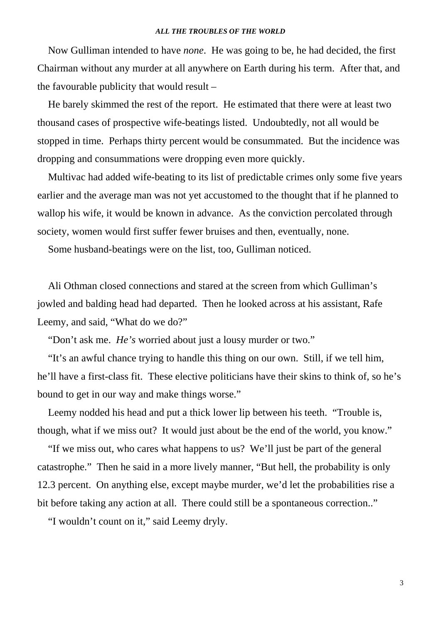Now Gulliman intended to have *none*. He was going to be, he had decided, the first Chairman without any murder at all anywhere on Earth during his term. After that, and the favourable publicity that would result –

He barely skimmed the rest of the report. He estimated that there were at least two thousand cases of prospective wife-beatings listed. Undoubtedly, not all would be stopped in time. Perhaps thirty percent would be consummated. But the incidence was dropping and consummations were dropping even more quickly.

Multivac had added wife-beating to its list of predictable crimes only some five years earlier and the average man was not yet accustomed to the thought that if he planned to wallop his wife, it would be known in advance. As the conviction percolated through society, women would first suffer fewer bruises and then, eventually, none.

Some husband-beatings were on the list, too, Gulliman noticed.

Ali Othman closed connections and stared at the screen from which Gulliman's jowled and balding head had departed. Then he looked across at his assistant, Rafe Leemy, and said, "What do we do?"

"Don't ask me. *He's* worried about just a lousy murder or two."

"It's an awful chance trying to handle this thing on our own. Still, if we tell him, he'll have a first-class fit. These elective politicians have their skins to think of, so he's bound to get in our way and make things worse."

Leemy nodded his head and put a thick lower lip between his teeth. "Trouble is, though, what if we miss out? It would just about be the end of the world, you know."

"If we miss out, who cares what happens to us? We'll just be part of the general catastrophe." Then he said in a more lively manner, "But hell, the probability is only 12.3 percent. On anything else, except maybe murder, we'd let the probabilities rise a bit before taking any action at all. There could still be a spontaneous correction.."

"I wouldn't count on it," said Leemy dryly.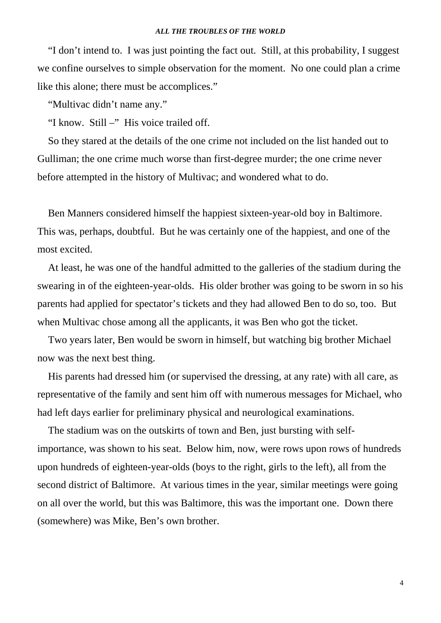"I don't intend to. I was just pointing the fact out. Still, at this probability, I suggest we confine ourselves to simple observation for the moment. No one could plan a crime like this alone; there must be accomplices."

"Multivac didn't name any."

"I know. Still –" His voice trailed off.

So they stared at the details of the one crime not included on the list handed out to Gulliman; the one crime much worse than first-degree murder; the one crime never before attempted in the history of Multivac; and wondered what to do.

Ben Manners considered himself the happiest sixteen-year-old boy in Baltimore. This was, perhaps, doubtful. But he was certainly one of the happiest, and one of the most excited.

At least, he was one of the handful admitted to the galleries of the stadium during the swearing in of the eighteen-year-olds. His older brother was going to be sworn in so his parents had applied for spectator's tickets and they had allowed Ben to do so, too. But when Multivac chose among all the applicants, it was Ben who got the ticket.

Two years later, Ben would be sworn in himself, but watching big brother Michael now was the next best thing.

His parents had dressed him (or supervised the dressing, at any rate) with all care, as representative of the family and sent him off with numerous messages for Michael, who had left days earlier for preliminary physical and neurological examinations.

The stadium was on the outskirts of town and Ben, just bursting with selfimportance, was shown to his seat. Below him, now, were rows upon rows of hundreds upon hundreds of eighteen-year-olds (boys to the right, girls to the left), all from the second district of Baltimore. At various times in the year, similar meetings were going on all over the world, but this was Baltimore, this was the important one. Down there (somewhere) was Mike, Ben's own brother.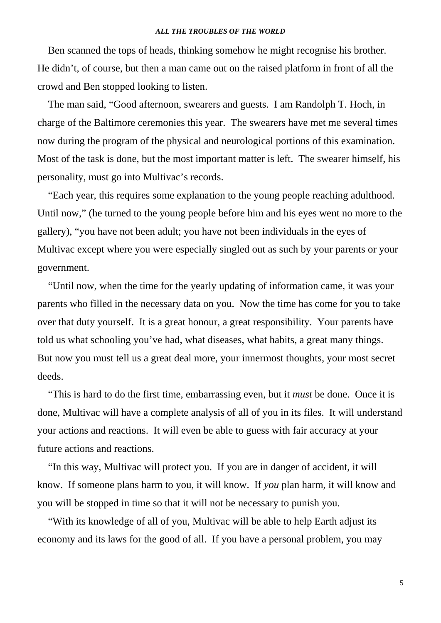Ben scanned the tops of heads, thinking somehow he might recognise his brother. He didn't, of course, but then a man came out on the raised platform in front of all the crowd and Ben stopped looking to listen.

The man said, "Good afternoon, swearers and guests. I am Randolph T. Hoch, in charge of the Baltimore ceremonies this year. The swearers have met me several times now during the program of the physical and neurological portions of this examination. Most of the task is done, but the most important matter is left. The swearer himself, his personality, must go into Multivac's records.

"Each year, this requires some explanation to the young people reaching adulthood. Until now," (he turned to the young people before him and his eyes went no more to the gallery), "you have not been adult; you have not been individuals in the eyes of Multivac except where you were especially singled out as such by your parents or your government.

"Until now, when the time for the yearly updating of information came, it was your parents who filled in the necessary data on you. Now the time has come for you to take over that duty yourself. It is a great honour, a great responsibility. Your parents have told us what schooling you've had, what diseases, what habits, a great many things. But now you must tell us a great deal more, your innermost thoughts, your most secret deeds.

"This is hard to do the first time, embarrassing even, but it *must* be done. Once it is done, Multivac will have a complete analysis of all of you in its files. It will understand your actions and reactions. It will even be able to guess with fair accuracy at your future actions and reactions.

"In this way, Multivac will protect you. If you are in danger of accident, it will know. If someone plans harm to you, it will know. If *you* plan harm, it will know and you will be stopped in time so that it will not be necessary to punish you.

"With its knowledge of all of you, Multivac will be able to help Earth adjust its economy and its laws for the good of all. If you have a personal problem, you may

5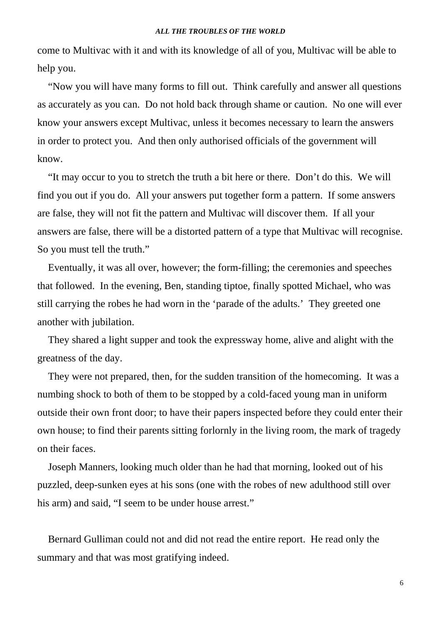come to Multivac with it and with its knowledge of all of you, Multivac will be able to help you.

"Now you will have many forms to fill out. Think carefully and answer all questions as accurately as you can. Do not hold back through shame or caution. No one will ever know your answers except Multivac, unless it becomes necessary to learn the answers in order to protect you. And then only authorised officials of the government will know.

"It may occur to you to stretch the truth a bit here or there. Don't do this. We will find you out if you do. All your answers put together form a pattern. If some answers are false, they will not fit the pattern and Multivac will discover them. If all your answers are false, there will be a distorted pattern of a type that Multivac will recognise. So you must tell the truth."

Eventually, it was all over, however; the form-filling; the ceremonies and speeches that followed. In the evening, Ben, standing tiptoe, finally spotted Michael, who was still carrying the robes he had worn in the 'parade of the adults.' They greeted one another with jubilation.

They shared a light supper and took the expressway home, alive and alight with the greatness of the day.

They were not prepared, then, for the sudden transition of the homecoming. It was a numbing shock to both of them to be stopped by a cold-faced young man in uniform outside their own front door; to have their papers inspected before they could enter their own house; to find their parents sitting forlornly in the living room, the mark of tragedy on their faces.

Joseph Manners, looking much older than he had that morning, looked out of his puzzled, deep-sunken eyes at his sons (one with the robes of new adulthood still over his arm) and said, "I seem to be under house arrest."

Bernard Gulliman could not and did not read the entire report. He read only the summary and that was most gratifying indeed.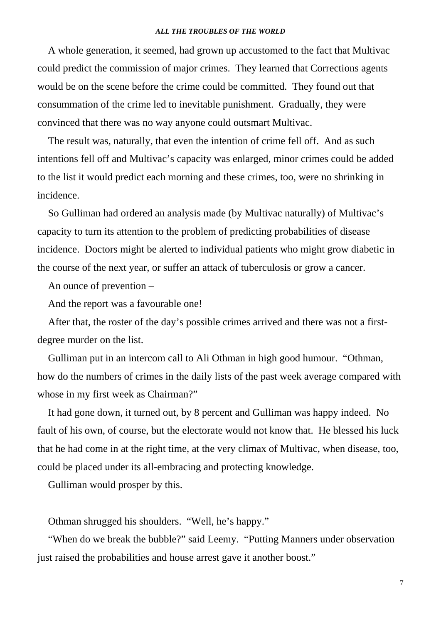A whole generation, it seemed, had grown up accustomed to the fact that Multivac could predict the commission of major crimes. They learned that Corrections agents would be on the scene before the crime could be committed. They found out that consummation of the crime led to inevitable punishment. Gradually, they were convinced that there was no way anyone could outsmart Multivac.

The result was, naturally, that even the intention of crime fell off. And as such intentions fell off and Multivac's capacity was enlarged, minor crimes could be added to the list it would predict each morning and these crimes, too, were no shrinking in incidence.

So Gulliman had ordered an analysis made (by Multivac naturally) of Multivac's capacity to turn its attention to the problem of predicting probabilities of disease incidence. Doctors might be alerted to individual patients who might grow diabetic in the course of the next year, or suffer an attack of tuberculosis or grow a cancer.

An ounce of prevention –

And the report was a favourable one!

After that, the roster of the day's possible crimes arrived and there was not a firstdegree murder on the list.

Gulliman put in an intercom call to Ali Othman in high good humour. "Othman, how do the numbers of crimes in the daily lists of the past week average compared with whose in my first week as Chairman?"

It had gone down, it turned out, by 8 percent and Gulliman was happy indeed. No fault of his own, of course, but the electorate would not know that. He blessed his luck that he had come in at the right time, at the very climax of Multivac, when disease, too, could be placed under its all-embracing and protecting knowledge.

Gulliman would prosper by this.

Othman shrugged his shoulders. "Well, he's happy."

"When do we break the bubble?" said Leemy. "Putting Manners under observation just raised the probabilities and house arrest gave it another boost."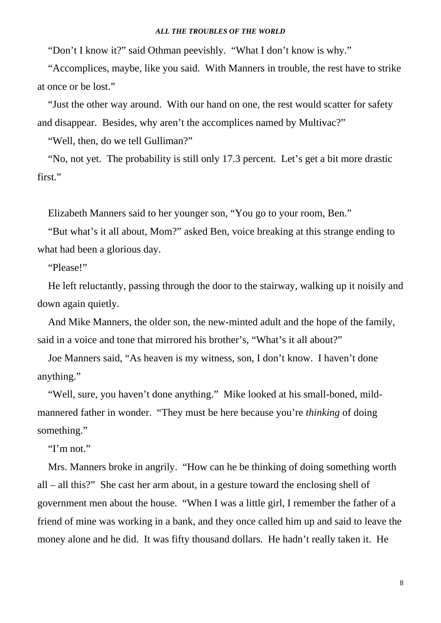"Don't I know it?" said Othman peevishly. "What I don't know is why."

"Accomplices, maybe, like you said. With Manners in trouble, the rest have to strike at once or be lost."

"Just the other way around. With our hand on one, the rest would scatter for safety and disappear. Besides, why aren't the accomplices named by Multivac?"

"Well, then, do we tell Gulliman?"

"No, not yet. The probability is still only 17.3 percent. Let's get a bit more drastic first."

Elizabeth Manners said to her younger son, "You go to your room, Ben."

"But what's it all about, Mom?" asked Ben, voice breaking at this strange ending to what had been a glorious day.

"Please!"

He left reluctantly, passing through the door to the stairway, walking up it noisily and down again quietly.

And Mike Manners, the older son, the new-minted adult and the hope of the family, said in a voice and tone that mirrored his brother's, "What's it all about?"

Joe Manners said, "As heaven is my witness, son, I don't know. I haven't done anything."

"Well, sure, you haven't done anything." Mike looked at his small-boned, mildmannered father in wonder. "They must be here because you're *thinking* of doing something."

"I'm not."

Mrs. Manners broke in angrily. "How can he be thinking of doing something worth all – all this?" She cast her arm about, in a gesture toward the enclosing shell of government men about the house. "When I was a little girl, I remember the father of a friend of mine was working in a bank, and they once called him up and said to leave the money alone and he did. It was fifty thousand dollars. He hadn't really taken it. He

8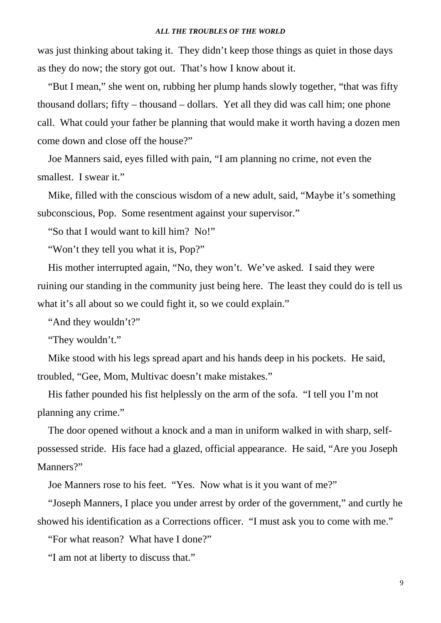was just thinking about taking it. They didn't keep those things as quiet in those days as they do now; the story got out. That's how I know about it.

"But I mean," she went on, rubbing her plump hands slowly together, "that was fifty thousand dollars; fifty – thousand – dollars. Yet all they did was call him; one phone call. What could your father be planning that would make it worth having a dozen men come down and close off the house?"

Joe Manners said, eyes filled with pain, "I am planning no crime, not even the smallest. I swear it."

Mike, filled with the conscious wisdom of a new adult, said, "Maybe it's something subconscious, Pop. Some resentment against your supervisor."

"So that I would want to kill him? No!"

"Won't they tell you what it is, Pop?"

His mother interrupted again, "No, they won't. We've asked. I said they were ruining our standing in the community just being here. The least they could do is tell us what it's all about so we could fight it, so we could explain."

"And they wouldn't?"

"They wouldn't."

Mike stood with his legs spread apart and his hands deep in his pockets. He said, troubled, "Gee, Mom, Multivac doesn't make mistakes."

His father pounded his fist helplessly on the arm of the sofa. "I tell you I'm not planning any crime."

The door opened without a knock and a man in uniform walked in with sharp, selfpossessed stride. His face had a glazed, official appearance. He said, "Are you Joseph Manners?"

Joe Manners rose to his feet. "Yes. Now what is it you want of me?"

"Joseph Manners, I place you under arrest by order of the government," and curtly he showed his identification as a Corrections officer. "I must ask you to come with me."

"For what reason? What have I done?"

"I am not at liberty to discuss that."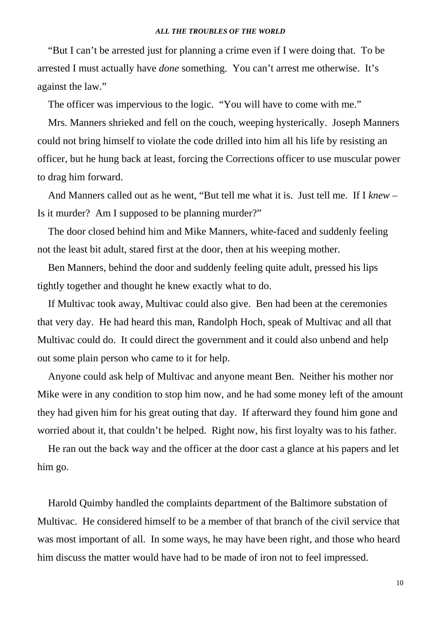"But I can't be arrested just for planning a crime even if I were doing that. To be arrested I must actually have *done* something. You can't arrest me otherwise. It's against the law."

The officer was impervious to the logic. "You will have to come with me."

Mrs. Manners shrieked and fell on the couch, weeping hysterically. Joseph Manners could not bring himself to violate the code drilled into him all his life by resisting an officer, but he hung back at least, forcing the Corrections officer to use muscular power to drag him forward.

And Manners called out as he went, "But tell me what it is. Just tell me. If I *knew* – Is it murder? Am I supposed to be planning murder?"

The door closed behind him and Mike Manners, white-faced and suddenly feeling not the least bit adult, stared first at the door, then at his weeping mother.

Ben Manners, behind the door and suddenly feeling quite adult, pressed his lips tightly together and thought he knew exactly what to do.

If Multivac took away, Multivac could also give. Ben had been at the ceremonies that very day. He had heard this man, Randolph Hoch, speak of Multivac and all that Multivac could do. It could direct the government and it could also unbend and help out some plain person who came to it for help.

Anyone could ask help of Multivac and anyone meant Ben. Neither his mother nor Mike were in any condition to stop him now, and he had some money left of the amount they had given him for his great outing that day. If afterward they found him gone and worried about it, that couldn't be helped. Right now, his first loyalty was to his father.

He ran out the back way and the officer at the door cast a glance at his papers and let him go.

Harold Quimby handled the complaints department of the Baltimore substation of Multivac. He considered himself to be a member of that branch of the civil service that was most important of all. In some ways, he may have been right, and those who heard him discuss the matter would have had to be made of iron not to feel impressed.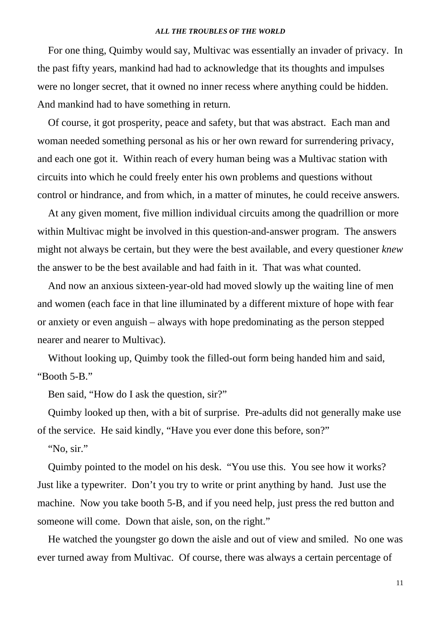For one thing, Quimby would say, Multivac was essentially an invader of privacy. In the past fifty years, mankind had had to acknowledge that its thoughts and impulses were no longer secret, that it owned no inner recess where anything could be hidden. And mankind had to have something in return.

Of course, it got prosperity, peace and safety, but that was abstract. Each man and woman needed something personal as his or her own reward for surrendering privacy, and each one got it. Within reach of every human being was a Multivac station with circuits into which he could freely enter his own problems and questions without control or hindrance, and from which, in a matter of minutes, he could receive answers.

At any given moment, five million individual circuits among the quadrillion or more within Multivac might be involved in this question-and-answer program. The answers might not always be certain, but they were the best available, and every questioner *knew* the answer to be the best available and had faith in it. That was what counted.

And now an anxious sixteen-year-old had moved slowly up the waiting line of men and women (each face in that line illuminated by a different mixture of hope with fear or anxiety or even anguish – always with hope predominating as the person stepped nearer and nearer to Multivac).

Without looking up, Quimby took the filled-out form being handed him and said, "Booth 5-B."

Ben said, "How do I ask the question, sir?"

Quimby looked up then, with a bit of surprise. Pre-adults did not generally make use of the service. He said kindly, "Have you ever done this before, son?"

"No, sir."

Quimby pointed to the model on his desk. "You use this. You see how it works? Just like a typewriter. Don't you try to write or print anything by hand. Just use the machine. Now you take booth 5-B, and if you need help, just press the red button and someone will come. Down that aisle, son, on the right."

He watched the youngster go down the aisle and out of view and smiled. No one was ever turned away from Multivac. Of course, there was always a certain percentage of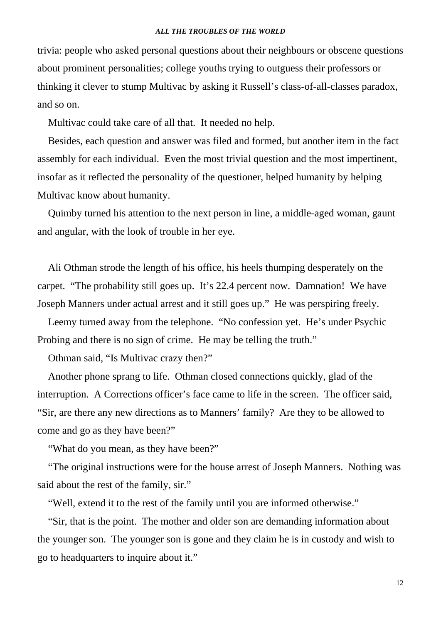trivia: people who asked personal questions about their neighbours or obscene questions about prominent personalities; college youths trying to outguess their professors or thinking it clever to stump Multivac by asking it Russell's class-of-all-classes paradox, and so on.

Multivac could take care of all that. It needed no help.

Besides, each question and answer was filed and formed, but another item in the fact assembly for each individual. Even the most trivial question and the most impertinent, insofar as it reflected the personality of the questioner, helped humanity by helping Multivac know about humanity.

Quimby turned his attention to the next person in line, a middle-aged woman, gaunt and angular, with the look of trouble in her eye.

Ali Othman strode the length of his office, his heels thumping desperately on the carpet. "The probability still goes up. It's 22.4 percent now. Damnation! We have Joseph Manners under actual arrest and it still goes up." He was perspiring freely.

Leemy turned away from the telephone. "No confession yet. He's under Psychic Probing and there is no sign of crime. He may be telling the truth."

Othman said, "Is Multivac crazy then?"

Another phone sprang to life. Othman closed connections quickly, glad of the interruption. A Corrections officer's face came to life in the screen. The officer said, "Sir, are there any new directions as to Manners' family? Are they to be allowed to come and go as they have been?"

"What do you mean, as they have been?"

"The original instructions were for the house arrest of Joseph Manners. Nothing was said about the rest of the family, sir."

"Well, extend it to the rest of the family until you are informed otherwise."

"Sir, that is the point. The mother and older son are demanding information about the younger son. The younger son is gone and they claim he is in custody and wish to go to headquarters to inquire about it."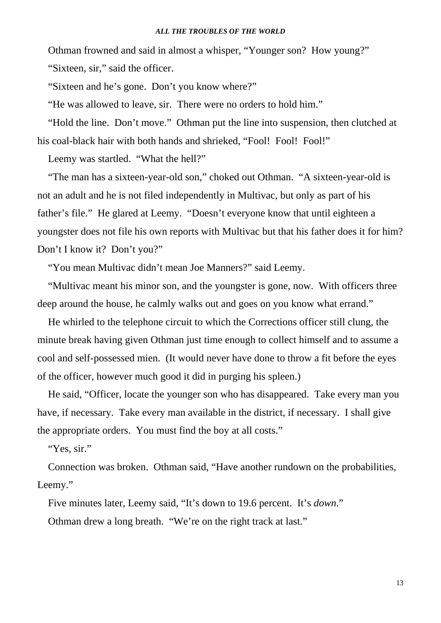Othman frowned and said in almost a whisper, "Younger son? How young?" "Sixteen, sir," said the officer.

"Sixteen and he's gone. Don't you know where?"

"He was allowed to leave, sir. There were no orders to hold him."

"Hold the line. Don't move." Othman put the line into suspension, then clutched at his coal-black hair with both hands and shrieked, "Fool! Fool! Fool!"

Leemy was startled. "What the hell?"

"The man has a sixteen-year-old son," choked out Othman. "A sixteen-year-old is not an adult and he is not filed independently in Multivac, but only as part of his father's file." He glared at Leemy. "Doesn't everyone know that until eighteen a youngster does not file his own reports with Multivac but that his father does it for him? Don't I know it? Don't you?"

"You mean Multivac didn't mean Joe Manners?" said Leemy.

"Multivac meant his minor son, and the youngster is gone, now. With officers three deep around the house, he calmly walks out and goes on you know what errand."

He whirled to the telephone circuit to which the Corrections officer still clung, the minute break having given Othman just time enough to collect himself and to assume a cool and self-possessed mien. (It would never have done to throw a fit before the eyes of the officer, however much good it did in purging his spleen.)

He said, "Officer, locate the younger son who has disappeared. Take every man you have, if necessary. Take every man available in the district, if necessary. I shall give the appropriate orders. You must find the boy at all costs."

"Yes, sir."

Connection was broken. Othman said, "Have another rundown on the probabilities, Leemy."

Five minutes later, Leemy said, "It's down to 19.6 percent. It's *down*." Othman drew a long breath. "We're on the right track at last."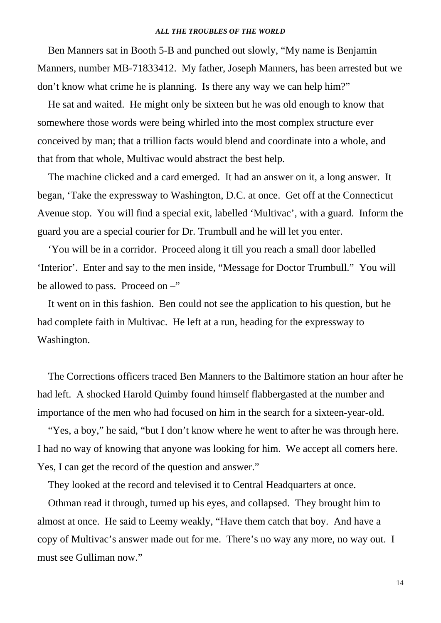Ben Manners sat in Booth 5-B and punched out slowly, "My name is Benjamin Manners, number MB-71833412. My father, Joseph Manners, has been arrested but we don't know what crime he is planning. Is there any way we can help him?"

He sat and waited. He might only be sixteen but he was old enough to know that somewhere those words were being whirled into the most complex structure ever conceived by man; that a trillion facts would blend and coordinate into a whole, and that from that whole, Multivac would abstract the best help.

The machine clicked and a card emerged. It had an answer on it, a long answer. It began, 'Take the expressway to Washington, D.C. at once. Get off at the Connecticut Avenue stop. You will find a special exit, labelled 'Multivac', with a guard. Inform the guard you are a special courier for Dr. Trumbull and he will let you enter.

'You will be in a corridor. Proceed along it till you reach a small door labelled 'Interior'. Enter and say to the men inside, "Message for Doctor Trumbull." You will be allowed to pass. Proceed on –"

It went on in this fashion. Ben could not see the application to his question, but he had complete faith in Multivac. He left at a run, heading for the expressway to Washington.

The Corrections officers traced Ben Manners to the Baltimore station an hour after he had left. A shocked Harold Quimby found himself flabbergasted at the number and importance of the men who had focused on him in the search for a sixteen-year-old.

"Yes, a boy," he said, "but I don't know where he went to after he was through here. I had no way of knowing that anyone was looking for him. We accept all comers here. Yes, I can get the record of the question and answer."

They looked at the record and televised it to Central Headquarters at once.

Othman read it through, turned up his eyes, and collapsed. They brought him to almost at once. He said to Leemy weakly, "Have them catch that boy. And have a copy of Multivac's answer made out for me. There's no way any more, no way out. I must see Gulliman now."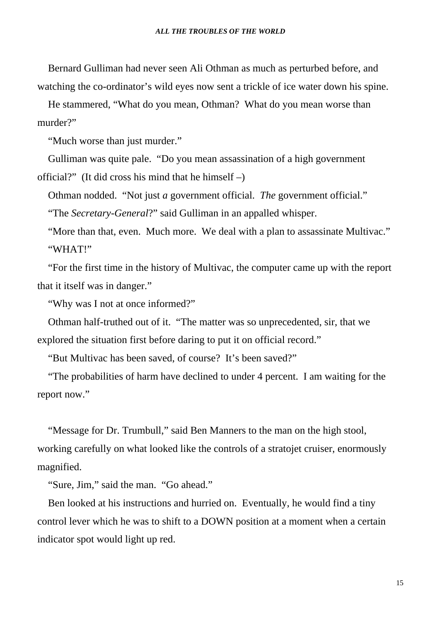Bernard Gulliman had never seen Ali Othman as much as perturbed before, and watching the co-ordinator's wild eyes now sent a trickle of ice water down his spine.

He stammered, "What do you mean, Othman? What do you mean worse than murder?"

"Much worse than just murder."

Gulliman was quite pale. "Do you mean assassination of a high government official?" (It did cross his mind that he himself  $-$ )

Othman nodded. "Not just *a* government official. *The* government official."

"The *Secretary-General*?" said Gulliman in an appalled whisper.

"More than that, even. Much more. We deal with a plan to assassinate Multivac." "WHAT!"

"For the first time in the history of Multivac, the computer came up with the report that it itself was in danger."

"Why was I not at once informed?"

Othman half-truthed out of it. "The matter was so unprecedented, sir, that we explored the situation first before daring to put it on official record."

"But Multivac has been saved, of course? It's been saved?"

"The probabilities of harm have declined to under 4 percent. I am waiting for the report now."

"Message for Dr. Trumbull," said Ben Manners to the man on the high stool, working carefully on what looked like the controls of a stratojet cruiser, enormously magnified.

"Sure, Jim," said the man. "Go ahead."

Ben looked at his instructions and hurried on. Eventually, he would find a tiny control lever which he was to shift to a DOWN position at a moment when a certain indicator spot would light up red.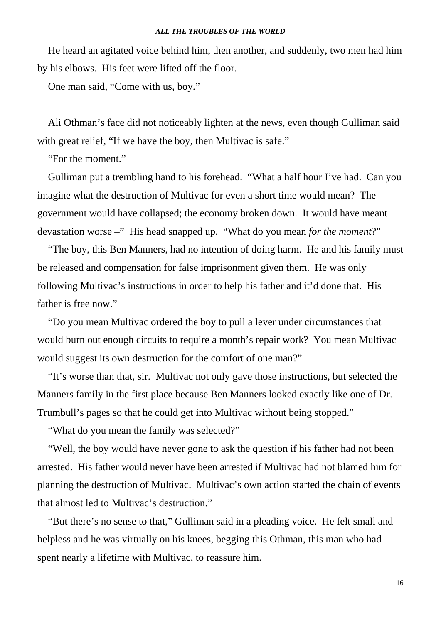He heard an agitated voice behind him, then another, and suddenly, two men had him by his elbows. His feet were lifted off the floor.

One man said, "Come with us, boy."

Ali Othman's face did not noticeably lighten at the news, even though Gulliman said with great relief, "If we have the boy, then Multivac is safe."

"For the moment."

Gulliman put a trembling hand to his forehead. "What a half hour I've had. Can you imagine what the destruction of Multivac for even a short time would mean? The government would have collapsed; the economy broken down. It would have meant devastation worse –" His head snapped up. "What do you mean *for the moment*?"

"The boy, this Ben Manners, had no intention of doing harm. He and his family must be released and compensation for false imprisonment given them. He was only following Multivac's instructions in order to help his father and it'd done that. His father is free now."

"Do you mean Multivac ordered the boy to pull a lever under circumstances that would burn out enough circuits to require a month's repair work? You mean Multivac would suggest its own destruction for the comfort of one man?"

"It's worse than that, sir. Multivac not only gave those instructions, but selected the Manners family in the first place because Ben Manners looked exactly like one of Dr. Trumbull's pages so that he could get into Multivac without being stopped."

"What do you mean the family was selected?"

"Well, the boy would have never gone to ask the question if his father had not been arrested. His father would never have been arrested if Multivac had not blamed him for planning the destruction of Multivac. Multivac's own action started the chain of events that almost led to Multivac's destruction."

"But there's no sense to that," Gulliman said in a pleading voice. He felt small and helpless and he was virtually on his knees, begging this Othman, this man who had spent nearly a lifetime with Multivac, to reassure him.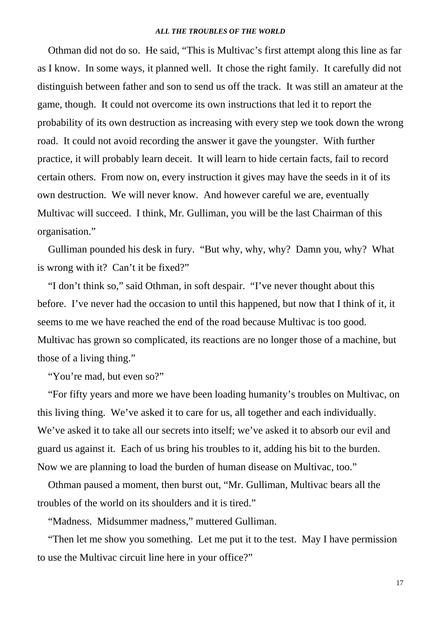Othman did not do so. He said, "This is Multivac's first attempt along this line as far as I know. In some ways, it planned well. It chose the right family. It carefully did not distinguish between father and son to send us off the track. It was still an amateur at the game, though. It could not overcome its own instructions that led it to report the probability of its own destruction as increasing with every step we took down the wrong road. It could not avoid recording the answer it gave the youngster. With further practice, it will probably learn deceit. It will learn to hide certain facts, fail to record certain others. From now on, every instruction it gives may have the seeds in it of its own destruction. We will never know. And however careful we are, eventually Multivac will succeed. I think, Mr. Gulliman, you will be the last Chairman of this organisation."

Gulliman pounded his desk in fury. "But why, why, why? Damn you, why? What is wrong with it? Can't it be fixed?"

"I don't think so," said Othman, in soft despair. "I've never thought about this before. I've never had the occasion to until this happened, but now that I think of it, it seems to me we have reached the end of the road because Multivac is too good. Multivac has grown so complicated, its reactions are no longer those of a machine, but those of a living thing."

"You're mad, but even so?"

"For fifty years and more we have been loading humanity's troubles on Multivac, on this living thing. We've asked it to care for us, all together and each individually. We've asked it to take all our secrets into itself; we've asked it to absorb our evil and guard us against it. Each of us bring his troubles to it, adding his bit to the burden. Now we are planning to load the burden of human disease on Multivac, too."

Othman paused a moment, then burst out, "Mr. Gulliman, Multivac bears all the troubles of the world on its shoulders and it is tired."

"Madness. Midsummer madness," muttered Gulliman.

"Then let me show you something. Let me put it to the test. May I have permission to use the Multivac circuit line here in your office?"